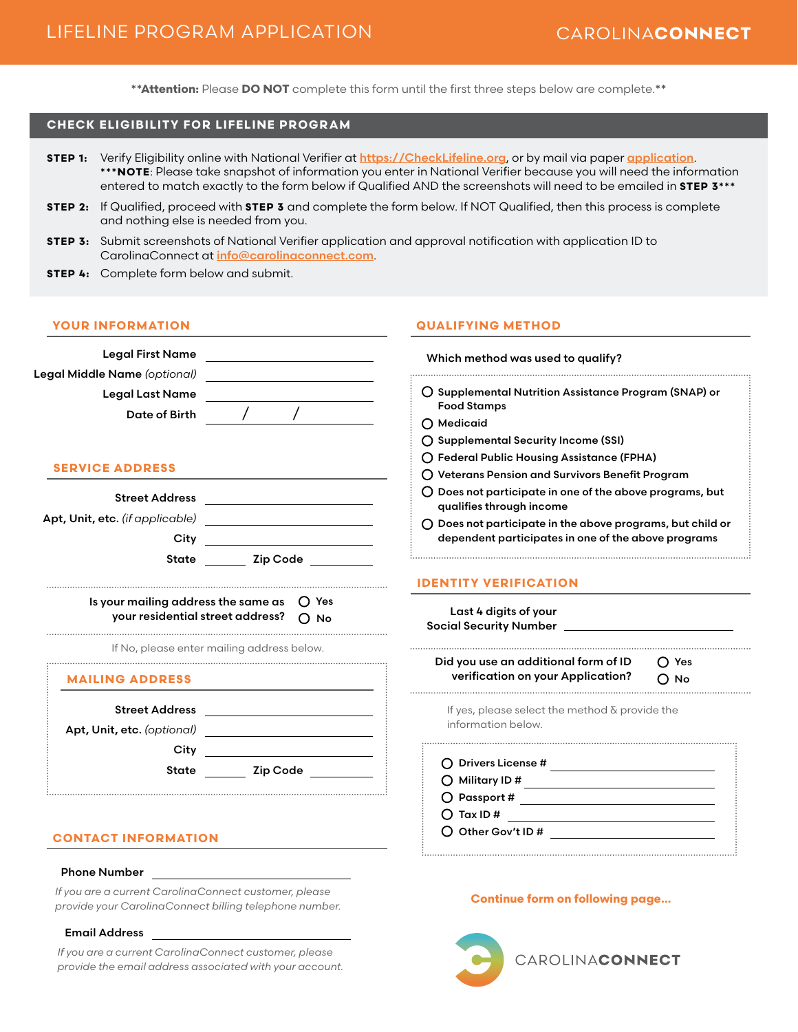**\*\*Attention:** Please **DO NOT** complete this form until the first three steps below are complete.**\*\***

# **CHECK ELIGIBILITY FOR LIFELINE PROGRAM**

- **STEP 1:** Verify Eligibility online with National Verifier at <https://CheckLifeline.org>, or by mail via paper [application](https://www.usac.org/wp-content/uploads/lifeline/documents/forms/LI_Application_NVstates.pdf). **\*\*\*NOTE**: Please take snapshot of information you enter in National Verifier because you will need the information entered to match exactly to the form below if Qualified AND the screenshots will need to be emailed in **STEP 3\*\*\***
- **STEP 2:** If Qualified, proceed with **STEP 3** and complete the form below. If NOT Qualified, then this process is complete and nothing else is needed from you.
- **STEP 3:** Submit screenshots of National Verifier application and approval notification with application ID to CarolinaConnect at [info@carolinaconnect.com](mailto:info%40carolinaconnect.com?subject=).
- **STEP 4:** Complete form below and submit.

#### **YOUR INFORMATION**

| <b>Legal First Name</b><br>the control of the control of the control of the control of<br>Legal Middle Name (optional)                         | Which method was us                                                                   |
|------------------------------------------------------------------------------------------------------------------------------------------------|---------------------------------------------------------------------------------------|
| <b>Legal Last Name</b><br>Date of Birth                                                                                                        | ○ Supplemental Nutrit<br><b>Food Stamps</b>                                           |
| <b>SERVICE ADDRESS</b>                                                                                                                         | ◯ Medicaid<br>○ Supplemental Secur<br>◯ Federal Public Housi<br>O Veterans Pension an |
| <b>Street Address</b><br><u> 1989 - Johann Barn, mars et al. 1989 - Anna ann an t-Anna ann an t-Anna ann an t-Anna ann an t-Anna ann an t-</u> | O Does not participate<br>qualifies through inc                                       |
| Apt, Unit, etc. (if applicable)<br>City<br><b>Zip Code</b><br>State                                                                            | $\bigcap$ Does not participate<br>dependent participe                                 |
|                                                                                                                                                | <b>IDENTITY VERIFICA</b>                                                              |
| Is your mailing address the same as<br>your residential street address?                                                                        | $\bigcap$ Yes<br>Last 4 digits of yo<br>∩ No<br><b>Social Security Numb</b>           |
| If No, please enter mailing address below.                                                                                                     | Did you use an addi                                                                   |
| <b>MAILING ADDRESS</b>                                                                                                                         | verification on yo                                                                    |
| <b>Street Address</b><br>Apt, Unit, etc. (optional)                                                                                            | If yes, please select<br>information below.                                           |
| City<br><b>State</b><br>Zip Code                                                                                                               | ◯ Drivers License #<br>Military ID #<br>∩                                             |
|                                                                                                                                                | $\bigcirc$ Passport #                                                                 |

## **CONTACT INFORMATION**

#### Phone Number

*If you are a current CarolinaConnect customer, please provide your CarolinaConnect billing telephone number.*

### Email Address

*If you are a current CarolinaConnect customer, please provide the email address associated with your account.*

#### **QUALIFYING METHOD**

| Which method was used to qualify?                                                                                         |               |  |
|---------------------------------------------------------------------------------------------------------------------------|---------------|--|
| ○ Supplemental Nutrition Assistance Program (SNAP) or<br><b>Food Stamps</b>                                               |               |  |
| $\bigcap$ Medicaid                                                                                                        |               |  |
| ◯ Supplemental Security Income (SSI)                                                                                      |               |  |
| ◯ Federal Public Housing Assistance (FPHA)                                                                                |               |  |
| O Veterans Pension and Survivors Benefit Program                                                                          |               |  |
| $\bigcirc$ Does not participate in one of the above programs, but<br>qualifies through income                             |               |  |
| $\bigcap$ Does not participate in the above programs, but child or<br>dependent participates in one of the above programs |               |  |
| <b>IDENTITY VERIFICATION</b><br>Last 4 digits of your<br><b>Social Security Number</b>                                    |               |  |
|                                                                                                                           |               |  |
| Did you use an additional form of ID<br>verification on your Application?                                                 | ◯ Yes<br>つ No |  |
| If yes, please select the method $\delta$ provide the<br>information below.                                               |               |  |
| $\bigcap$ Drivers License #                                                                                               |               |  |
| $\bigcirc$ Military ID #                                                                                                  |               |  |
| $\bigcirc$ Passport #                                                                                                     |               |  |
| $\bigcap$ Tax ID #                                                                                                        |               |  |

#### **Continue form on following page…**